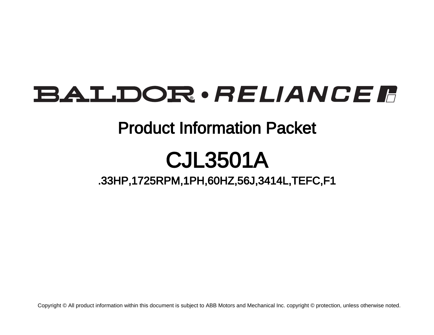# **BALDOR** · RELIANCE F

## Product Information Packet

# CJL3501A

.33HP,1725RPM,1PH,60HZ,56J,3414L,TEFC,F1

Copyright © All product information within this document is subject to ABB Motors and Mechanical Inc. copyright © protection, unless otherwise noted.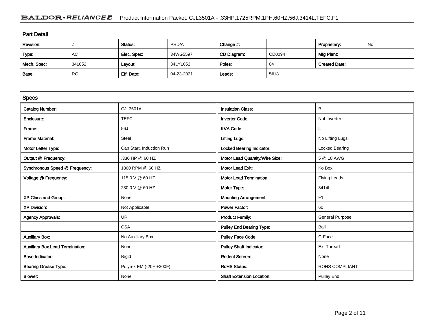### BALDOR · RELIANCE F Product Information Packet: CJL3501A - .33HP,1725RPM,1PH,60HZ,56J,3414L,TEFC,F1

| <b>Part Detail</b> |           |             |            |             |        |                      |    |  |
|--------------------|-----------|-------------|------------|-------------|--------|----------------------|----|--|
| Revision:          |           | Status:     | PRD/A      | Change #:   |        | Proprietary:         | No |  |
| Type:              | AC        | Elec. Spec: | 34WG5597   | CD Diagram: | CD0094 | Mfg Plant:           |    |  |
| Mech. Spec:        | 34L052    | Layout:     | 34LYL052   | Poles:      | 04     | <b>Created Date:</b> |    |  |
| Base:              | <b>RG</b> | Eff. Date:  | 04-23-2021 | Leads:      | 5#18   |                      |    |  |

| <b>Specs</b>                           |                          |                                  |                        |
|----------------------------------------|--------------------------|----------------------------------|------------------------|
| <b>Catalog Number:</b>                 | <b>CJL3501A</b>          | <b>Insulation Class:</b>         | В                      |
| Enclosure:                             | <b>TEFC</b>              | <b>Inverter Code:</b>            | Not Inverter           |
| Frame:                                 | 56J                      | <b>KVA Code:</b>                 | L                      |
| <b>Frame Material:</b>                 | Steel                    | <b>Lifting Lugs:</b>             | No Lifting Lugs        |
| Motor Letter Type:                     | Cap Start, Induction Run | <b>Locked Bearing Indicator:</b> | Locked Bearing         |
| Output @ Frequency:                    | .330 HP @ 60 HZ          | Motor Lead Quantity/Wire Size:   | 5 @ 18 AWG             |
| Synchronous Speed @ Frequency:         | 1800 RPM @ 60 HZ         | <b>Motor Lead Exit:</b>          | Ko Box                 |
| Voltage @ Frequency:                   | 115.0 V @ 60 HZ          | <b>Motor Lead Termination:</b>   | <b>Flying Leads</b>    |
|                                        | 230.0 V @ 60 HZ          | Motor Type:                      | 3414L                  |
| XP Class and Group:                    | None                     | <b>Mounting Arrangement:</b>     | F1                     |
| <b>XP Division:</b>                    | Not Applicable           | <b>Power Factor:</b>             | 60                     |
| <b>Agency Approvals:</b>               | <b>UR</b>                | <b>Product Family:</b>           | <b>General Purpose</b> |
|                                        | <b>CSA</b>               | <b>Pulley End Bearing Type:</b>  | Ball                   |
| <b>Auxillary Box:</b>                  | No Auxillary Box         | <b>Pulley Face Code:</b>         | C-Face                 |
| <b>Auxillary Box Lead Termination:</b> | None                     | <b>Pulley Shaft Indicator:</b>   | <b>Ext Thread</b>      |
| <b>Base Indicator:</b>                 | Rigid                    | <b>Rodent Screen:</b>            | None                   |
| <b>Bearing Grease Type:</b>            | Polyrex EM (-20F +300F)  | <b>RoHS Status:</b>              | <b>ROHS COMPLIANT</b>  |
| <b>Blower:</b>                         | None                     | <b>Shaft Extension Location:</b> | <b>Pulley End</b>      |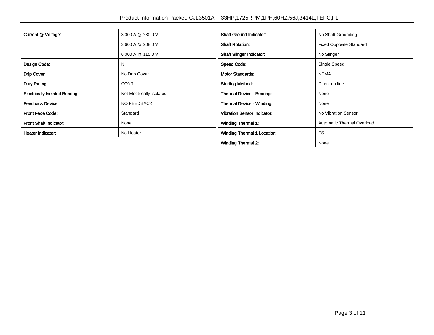| Current @ Voltage:                    | 3.000 A @ 230.0 V         | <b>Shaft Ground Indicator:</b>     | No Shaft Grounding             |  |
|---------------------------------------|---------------------------|------------------------------------|--------------------------------|--|
|                                       | 3.600 A @ 208.0 V         | <b>Shaft Rotation:</b>             | <b>Fixed Opposite Standard</b> |  |
|                                       | 6.000 A @ 115.0 V         | <b>Shaft Slinger Indicator:</b>    | No Slinger                     |  |
| Design Code:                          | N                         | <b>Speed Code:</b>                 | Single Speed                   |  |
| Drip Cover:                           | No Drip Cover             | <b>Motor Standards:</b>            | <b>NEMA</b>                    |  |
| Duty Rating:                          | <b>CONT</b>               | <b>Starting Method:</b>            | Direct on line                 |  |
| <b>Electrically Isolated Bearing:</b> | Not Electrically Isolated | Thermal Device - Bearing:          | None                           |  |
| <b>Feedback Device:</b>               | <b>NO FEEDBACK</b>        | Thermal Device - Winding:          | None                           |  |
| <b>Front Face Code:</b>               | Standard                  | <b>Vibration Sensor Indicator:</b> | No Vibration Sensor            |  |
| <b>Front Shaft Indicator:</b>         | None                      | <b>Winding Thermal 1:</b>          | Automatic Thermal Overload     |  |
| Heater Indicator:                     | No Heater                 | <b>Winding Thermal 1 Location:</b> | ES                             |  |
|                                       |                           | <b>Winding Thermal 2:</b>          | None                           |  |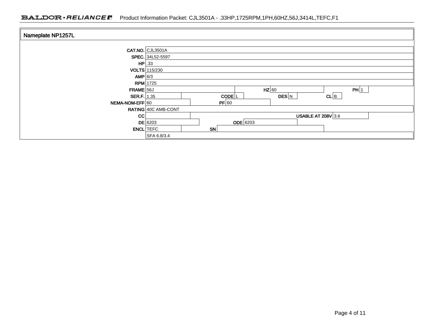### BALDOR · RELIANCE F Product Information Packet: CJL3501A - .33HP,1725RPM,1PH,60HZ,56J,3414L,TEFC,F1

| Nameplate NP1257L |                      |                                    |  |  |  |  |  |
|-------------------|----------------------|------------------------------------|--|--|--|--|--|
|                   | CAT.NO. CJL3501A     |                                    |  |  |  |  |  |
|                   | SPEC. 34L52-5597     |                                    |  |  |  |  |  |
| $HP$ .33          |                      |                                    |  |  |  |  |  |
|                   | <b>VOLTS</b> 115/230 |                                    |  |  |  |  |  |
| AMP 6/3           |                      |                                    |  |  |  |  |  |
|                   | $RPM$ 1725           |                                    |  |  |  |  |  |
| FRAME 56J         |                      | $HZ$ 60<br>PH 1                    |  |  |  |  |  |
| SER.F. $1.35$     |                      | CL B<br>CODE <sup>L</sup><br>DES N |  |  |  |  |  |
| NEMA-NOM-EFF 60   |                      | PF 60                              |  |  |  |  |  |
|                   | RATING 40C AMB-CONT  |                                    |  |  |  |  |  |
| CC                |                      | <b>USABLE AT 208V 3.6</b>          |  |  |  |  |  |
|                   | $DE$ 6203            | $ODE$ 6203                         |  |  |  |  |  |
| <b>ENCL</b> TEFC  |                      | <b>SN</b>                          |  |  |  |  |  |
|                   | SFA 6.8/3.4          |                                    |  |  |  |  |  |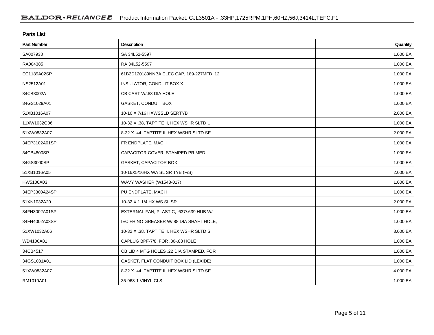| <b>Parts List</b>  |                                          |          |  |  |  |  |
|--------------------|------------------------------------------|----------|--|--|--|--|
| <b>Part Number</b> | Description                              | Quantity |  |  |  |  |
| SA007938           | SA 34L52-5597                            | 1.000 EA |  |  |  |  |
| RA004385           | RA 34L52-5597                            | 1.000 EA |  |  |  |  |
| EC1189A02SP        | 61B2D120189NNBA ELEC CAP, 189-227MFD, 12 | 1.000 EA |  |  |  |  |
| NS2512A01          | INSULATOR, CONDUIT BOX X                 | 1.000 EA |  |  |  |  |
| 34CB3002A          | CB CAST W/.88 DIA HOLE                   | 1.000 EA |  |  |  |  |
| 34GS1029A01        | <b>GASKET, CONDUIT BOX</b>               | 1.000 EA |  |  |  |  |
| 51XB1016A07        | 10-16 X 7/16 HXWSSLD SERTYB              | 2.000 EA |  |  |  |  |
| 11XW1032G06        | 10-32 X .38, TAPTITE II, HEX WSHR SLTD U | 1.000 EA |  |  |  |  |
| 51XW0832A07        | 8-32 X .44, TAPTITE II, HEX WSHR SLTD SE | 2.000 EA |  |  |  |  |
| 34EP3102A01SP      | FR ENDPLATE, MACH                        | 1.000 EA |  |  |  |  |
| 34CB4800SP         | CAPACITOR COVER, STAMPED PRIMED          | 1.000 EA |  |  |  |  |
| 34GS3000SP         | GASKET, CAPACITOR BOX                    | 1.000 EA |  |  |  |  |
| 51XB1016A05        | 10-16X5/16HX WA SL SR TYB (F/S)          | 2.000 EA |  |  |  |  |
| HW5100A03          | WAVY WASHER (W1543-017)                  | 1.000 EA |  |  |  |  |
| 34EP3300A24SP      | PU ENDPLATE, MACH                        | 1.000 EA |  |  |  |  |
| 51XN1032A20        | 10-32 X 1 1/4 HX WS SL SR                | 2.000 EA |  |  |  |  |
| 34FN3002A01SP      | EXTERNAL FAN, PLASTIC, .637/.639 HUB W/  | 1.000 EA |  |  |  |  |
| 34FH4002A03SP      | IEC FH NO GREASER W/.88 DIA SHAFT HOLE,  | 1.000 EA |  |  |  |  |
| 51XW1032A06        | 10-32 X .38, TAPTITE II, HEX WSHR SLTD S | 3.000 EA |  |  |  |  |
| WD4100A81          | CAPLUG BPF-7/8, FOR .86-.88 HOLE         | 1.000 EA |  |  |  |  |
| 34CB4517           | CB LID 4 MTG HOLES .22 DIA STAMPED, FOR  | 1.000 EA |  |  |  |  |
| 34GS1031A01        | GASKET, FLAT CONDUIT BOX LID (LEXIDE)    | 1.000 EA |  |  |  |  |
| 51XW0832A07        | 8-32 X .44, TAPTITE II, HEX WSHR SLTD SE | 4.000 EA |  |  |  |  |
| RM1010A01          | 35-968-1 VINYL CLS                       | 1.000 EA |  |  |  |  |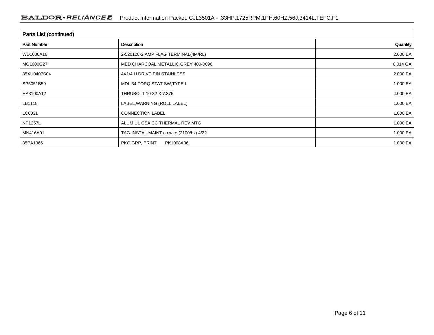| <b>Parts List (continued)</b> |                                         |          |  |  |  |
|-------------------------------|-----------------------------------------|----------|--|--|--|
| <b>Part Number</b>            | Description                             | Quantity |  |  |  |
| WD1000A16                     | 2-520128-2 AMP FLAG TERMINAL(4M/RL)     | 2.000 EA |  |  |  |
| MG1000G27                     | MED CHARCOAL METALLIC GREY 400-0096     | 0.014 GA |  |  |  |
| 85XU0407S04                   | 4X1/4 U DRIVE PIN STAINLESS             | 2.000 EA |  |  |  |
| SP5051B59                     | MDL 34 TORQ STAT SW, TYPE L             | 1.000 EA |  |  |  |
| HA3100A12                     | THRUBOLT 10-32 X 7.375                  | 4.000 EA |  |  |  |
| LB1118                        | LABEL, WARNING (ROLL LABEL)             | 1.000 EA |  |  |  |
| LC0031                        | <b>CONNECTION LABEL</b>                 | 1.000 EA |  |  |  |
| <b>NP1257L</b>                | ALUM UL CSA CC THERMAL REV MTG          | 1.000 EA |  |  |  |
| MN416A01                      | TAG-INSTAL-MAINT no wire (2100/bx) 4/22 | 1.000 EA |  |  |  |
| 35PA1066                      | PKG GRP, PRINT<br>PK1008A06             | 1.000 EA |  |  |  |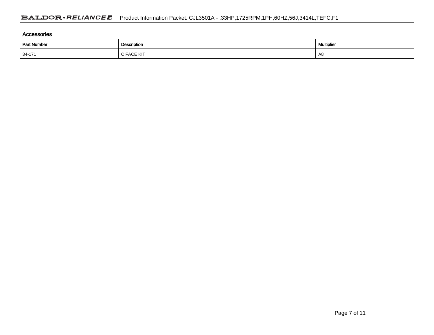| Accessories        |                   |    |  |  |  |  |
|--------------------|-------------------|----|--|--|--|--|
| <b>Part Number</b> | <b>Multiplier</b> |    |  |  |  |  |
| $ 34-171$          | C FACE KIT        | A8 |  |  |  |  |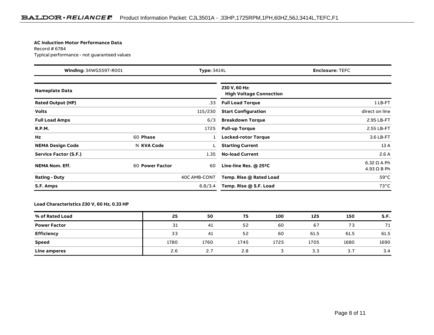#### **AC Induction Motor Performance Data**

Record # 6784Typical performance - not guaranteed values

| Winding: 34WG5597-R001<br><b>Type: 3414L</b> |                 | <b>Enclosure: TEFC</b> |                                                 |                                          |
|----------------------------------------------|-----------------|------------------------|-------------------------------------------------|------------------------------------------|
| <b>Nameplate Data</b>                        |                 |                        | 230 V, 60 Hz:<br><b>High Voltage Connection</b> |                                          |
| <b>Rated Output (HP)</b>                     |                 | .33                    | <b>Full Load Torque</b>                         | 1LB-FT                                   |
| <b>Volts</b>                                 |                 | 115/230                | <b>Start Configuration</b>                      | direct on line                           |
| <b>Full Load Amps</b>                        |                 | 6/3                    | <b>Breakdown Torque</b>                         | 2.95 LB-FT                               |
| <b>R.P.M.</b>                                |                 | 1725                   | <b>Pull-up Torque</b>                           | 2.55 LB-FT                               |
| Hz                                           | 60 Phase        |                        | Locked-rotor Torque                             | 3.6 LB-FT                                |
| <b>NEMA Design Code</b>                      | N KVA Code      |                        | <b>Starting Current</b>                         | 13 A                                     |
| Service Factor (S.F.)                        |                 | 1.35                   | <b>No-load Current</b>                          | 2.6A                                     |
| <b>NEMA Nom. Eff.</b>                        | 60 Power Factor | 60                     | Line-line Res. @ 25°C                           | $6.32 \Omega$ A Ph<br>$4.93 \Omega B Ph$ |
| <b>Rating - Duty</b>                         |                 | 40C AMB-CONT           | Temp. Rise @ Rated Load                         | $59^{\circ}$ C                           |
| S.F. Amps                                    |                 | 6.8/3.4                | Temp. Rise @ S.F. Load                          | $73^{\circ}$ C                           |

#### **Load Characteristics 230 V, 60 Hz, 0.33 HP**

| % of Rated Load     | 25   | 50   | 75   | 100  | 125  | 150  | S.F. |
|---------------------|------|------|------|------|------|------|------|
| <b>Power Factor</b> | 31   | -41  | 52   | 60   | 67   | 73   | 71   |
| Efficiency          | 33   | -41  | 52   | 60   | 61.5 | 61.5 | 61.5 |
| <b>Speed</b>        | 1780 | 1760 | 1745 | 1725 | 1705 | 1680 | 1690 |
| <b>Line amperes</b> | 2.6  | 2.7  | 2.8  |      | 3.3  | 3.7  | 3.4  |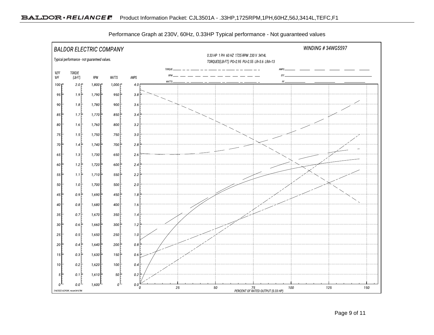

Performance Graph at 230V, 60Hz, 0.33HP Typical performance - Not guaranteed values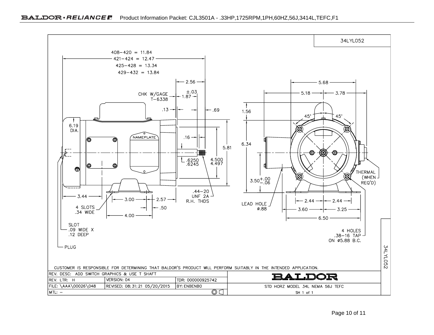